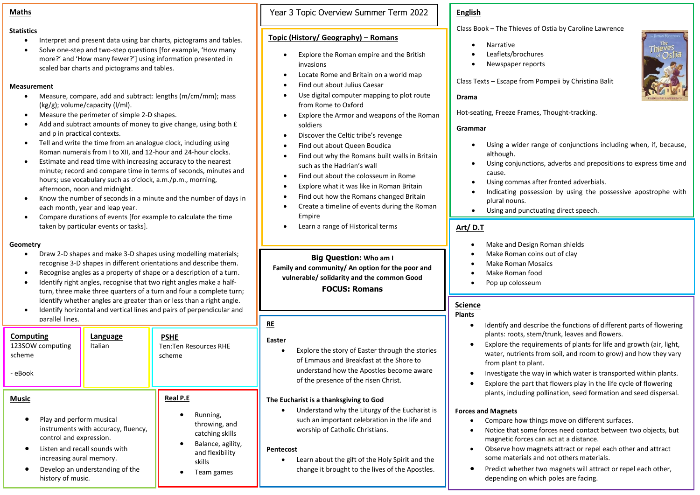#### **Statistics**

- Interpret and present data using bar charts, pictograms and tables.
- Solve one-step and two-step questions [for example, 'How many more?' and 'How many fewer?'] using information presented in scaled bar charts and pictograms and tables.

# **Measurement**

- Measure, compare, add and subtract: lengths (m/cm/mm); mass (kg/g); volume/capacity (l/ml).
- Measure the perimeter of simple 2-D shapes.
- Add and subtract amounts of money to give change, using both  $f$ and p in practical contexts.
- Tell and write the time from an analogue clock, including using Roman numerals from I to XII, and 12-hour and 24-hour clocks.
- Estimate and read time with increasing accuracy to the nearest minute; record and compare time in terms of seconds, minutes and hours; use vocabulary such as o'clock, a.m./p.m., morning, afternoon, noon and midnight.
- Know the number of seconds in a minute and the number of days in each month, year and leap year.
- Compare durations of events [for example to calculate the time taken by particular events or tasks].

#### **Geometry**

- Draw 2-D shapes and make 3-D shapes using modelling materials; recognise 3-D shapes in different orientations and describe them.
- Recognise angles as a property of shape or a description of a turn.
- Identify right angles, recognise that two right angles make a halfturn, three make three quarters of a turn and four a complete turn; identify whether angles are greater than or less than a right angle.
- Identify horizontal and vertical lines and pairs of perpendicular and parallel lines.

| Computing<br>123SOW computing<br>scheme<br>- eBook                                         | Language<br>Italian             | <b>PSHE</b><br>Ten:Ten Resources RHE<br>scheme |  |
|--------------------------------------------------------------------------------------------|---------------------------------|------------------------------------------------|--|
| <b>Music</b>                                                                               |                                 | <b>Real P.E</b>                                |  |
| Play and perform musical<br>instruments with accuracy, fluency,<br>control and expression. |                                 | Running,<br>throwing, and<br>catching skills   |  |
| increasing aural memory.                                                                   | Listen and recall sounds with   | Balance, agility,<br>and flexibility<br>skills |  |
| history of music.                                                                          | Develop an understanding of the | Team games                                     |  |

**Maths** Year 3 Topic Overview Summer Term 2022

# **Topic (History/ Geography) – Romans**

- Explore the Roman empire and the British invasions
- Locate Rome and Britain on a world map
- Find out about Julius Caesar
- Use digital computer mapping to plot route from Rome to Oxford
- Explore the Armor and weapons of the Roman soldiers
- Discover the Celtic tribe's revenge
- Find out about Queen Boudica
- Find out why the Romans built walls in Britain such as the Hadrian's wall
- Find out about the colosseum in Rome
- Explore what it was like in Roman Britain
- Find out how the Romans changed Britain
- Create a timeline of events during the Roman Empire
- Learn a range of Historical terms

**Big Question: Who am I Family and community/ An option for the poor and vulnerable/ solidarity and the common Good FOCUS: Romans**

### **RE**

#### **Easter**

Explore the story of Easter through the stories of Emmaus and Breakfast at the Shore to understand how the Apostles become aware of the presence of the risen Christ.

# **The Eucharist is a thanksgiving to God**

• Understand why the Liturgy of the Eucharist is such an important celebration in the life and worship of Catholic Christians.

### **Pentecost**

• Learn about the gift of the Holy Spirit and the change it brought to the lives of the Apostles.

# **English**

Class Book – The Thieves of Ostia by Caroline Lawrence

- Narrative
- Leaflets/brochures
- Newspaper reports

Class Texts – Escape from Pompeii by Christina Balit

# **Drama**

Hot-seating, Freeze Frames, Thought-tracking.

# **Grammar**

- Using a wider range of conjunctions including when, if, because, although.
- Using conjunctions, adverbs and prepositions to express time and cause.
- Using commas after fronted adverbials.
- Indicating possession by using the possessive apostrophe with plural nouns.
- Using and punctuating direct speech.

# **Art/ D.T**

- Make and Design Roman shields
- Make Roman coins out of clay
- Make Roman Mosaics
- Make Roman food
- Pop up colosseum

# **Science**

### **Plants**

- Identify and describe the functions of different parts of flowering plants: roots, stem/trunk, leaves and flowers.
- Explore the requirements of plants for life and growth (air, light, water, nutrients from soil, and room to grow) and how they vary from plant to plant.
- Investigate the way in which water is transported within plants.
- Explore the part that flowers play in the life cycle of flowering plants, including pollination, seed formation and seed dispersal.

### **Forces and Magnets**

- Compare how things move on different surfaces.
- Notice that some forces need contact between two objects, but magnetic forces can act at a distance.
- Observe how magnets attract or repel each other and attract some materials and not others materials.
- Predict whether two magnets will attract or repel each other, depending on which poles are facing.